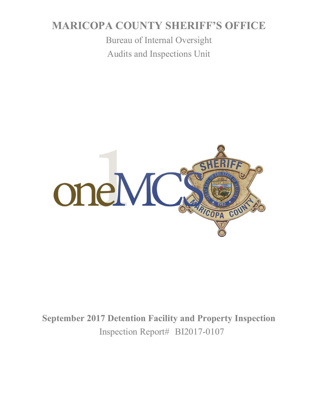# **MARICOPA COUNTY SHERIFF'S OFFICE**

Bureau of Internal Oversight Audits and Inspections Unit



**September 2017 Detention Facility and Property Inspection** Inspection Report# BI2017-0107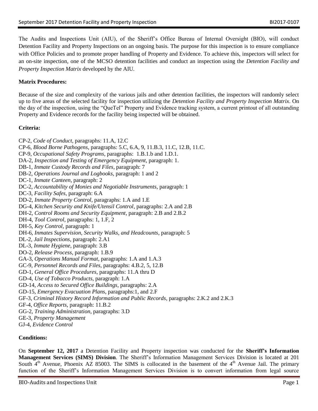The Audits and Inspections Unit (AIU), of the Sheriff's Office Bureau of Internal Oversight (BIO), will conduct Detention Facility and Property Inspections on an ongoing basis. The purpose for this inspection is to ensure compliance with Office Policies and to promote proper handling of Property and Evidence. To achieve this, inspectors will select for an on-site inspection, one of the MCSO detention facilities and conduct an inspection using the *Detention Facility and Property Inspection Matrix* developed by the AIU.

# **Matrix Procedures:**

Because of the size and complexity of the various jails and other detention facilities, the inspectors will randomly select up to five areas of the selected facility for inspection utilizing the *Detention Facility and Property Inspection Matrix*. On the day of the inspection, using the "QueTel" Property and Evidence tracking system, a current printout of all outstanding Property and Evidence records for the facility being inspected will be obtained.

## **Criteria:**

- CP-2, *Code of Conduct,* paragraphs: 11.A, 12.C
- CP-6, *Blood Borne Pathogens*, paragraphs: 5.C, 6.A, 9, 11.B.3, 11.C, 12.B, 11.C.
- CP-9, *Occupational Safety Programs*, paragraphs: 1.B.1.b and 1.D.1.
- DA-2, *Inspection and Testing of Emergency Equipment*, paragraph: 1.
- DB-1, *Inmate Custody Records and Files*, paragraph: 7
- DB-2, *Operations Journal and Logbooks*, paragraph: 1 and 2
- DC-1, *Inmate Canteen*, paragraph: 2
- DC-2, *Accountability of Monies and Negotiable Instruments*, paragraph: 1
- DC-3, *Facility Safes*, paragraph: 6.A
- DD-2, *Inmate Property Control*, paragraphs: 1.A and 1.E
- DG-4, *Kitchen Security and Knife/Utensil Control*, paragraphs: 2.A and 2.B
- DH-2, *Control Rooms and Security Equipment*, paragraph: 2.B and 2.B.2
- DH-4, *Tool Control*, paragraphs: 1, 1.F, 2
- DH-5, *Key Control*, paragraph: 1
- DH-6, *Inmates Supervision, Security Walks, and Headcounts*, paragraph: 5
- DL-2, *Jail Inspections*, paragraph: 2.A1
- DL-3, *Inmate Hygiene*, paragraph: 3.B
- DO-2, *Release Process*, paragraph: 1.B.9
- GA-3, *Operations Manual Format*, paragraphs: 1.A and 1.A.3
- GC-9, *Personnel Records and Files*, paragraphs: 4.B.2, 5, 12.B
- GD-1, *General Office Procedures*, paragraphs: 11.A thru D
- GD-4, *Use of Tobacco Products*, paragraph: 1.A
- GD-14, *Access to Secured Office Buildings*, paragraphs: 2.A
- GD-15, *Emergency Evacuation Plans*, paragraphs:1, and 2.F
- GF-3, *Criminal History Record Information and Public Records*, paragraphs: 2.K.2 and 2.K.3
- GF-4, *Office Reports*, paragraph: 11.B.2
- GG-2, *Training Administration*, paragraphs: 3.D
- GE-3, *Property Management*
- GJ-4, *Evidence Control*

## **Conditions:**

On **September 12, 2017** a Detention Facility and Property inspection was conducted for the **Sheriff's Information Management Services (SIMS) Division**. The Sheriff's Information Management Services Division is located at 201 South  $4<sup>th</sup>$  Avenue, Phoenix AZ 85003. The SIMS is collocated in the basement of the  $4<sup>th</sup>$  Avenue Jail. The primary function of the Sheriff's Information Management Services Division is to convert information from legal source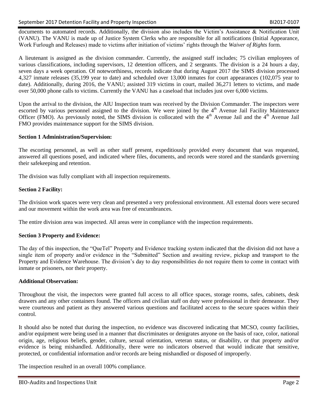documents to automated records. Additionally, the division also includes the Victim's Assistance & Notification Unit (VANU). The VANU is made up of Justice System Clerks who are responsible for all notifications (Initial Appearance, Work Furlough and Releases) made to victims after initiation of victims' rights through the *Waiver of Rights* form.

A lieutenant is assigned as the division commander. Currently, the assigned staff includes; 75 civilian employees of various classifications, including supervisors, 12 detention officers, and 2 sergeants. The division is a 24 hours a day, seven days a week operation. Of noteworthiness, records indicate that during August 2017 the SIMS division processed 4,327 inmate releases (35,199 year to date) and scheduled over 13,000 inmates for court appearances (102,075 year to date). Additionally, during 2016, the VANU; assisted 319 victims in court, mailed 36,271 letters to victims, and made over 50,000 phone calls to victims. Currently the VANU has a caseload that includes just over 6,000 victims.

Upon the arrival to the division, the AIU Inspection team was received by the Division Commander. The inspectors were escorted by various personnel assigned to the division. We were joined by the 4<sup>th</sup> Avenue Jail Facility Maintenance Officer (FMO). As previously noted, the SIMS division is collocated with the  $4<sup>th</sup>$  Avenue Jail and the  $4<sup>th</sup>$  Avenue Jail FMO provides maintenance support for the SIMS division.

#### **Section 1 Administration/Supervision:**

The escorting personnel, as well as other staff present, expeditiously provided every document that was requested, answered all questions posed, and indicated where files, documents, and records were stored and the standards governing their safekeeping and retention.

The division was fully compliant with all inspection requirements.

#### **Section 2 Facility:**

The division work spaces were very clean and presented a very professional environment. All external doors were secured and our movement within the work area was free of encumbrances.

The entire division area was inspected. All areas were in compliance with the inspection requirements.

## **Section 3 Property and Evidence:**

The day of this inspection, the "QueTel" Property and Evidence tracking system indicated that the division did not have a single item of property and/or evidence in the "Submitted" Section and awaiting review, pickup and transport to the Property and Evidence Warehouse. The division's day to day responsibilities do not require them to come in contact with inmate or prisoners, nor their property.

## **Additional Observation:**

Throughout the visit, the inspectors were granted full access to all office spaces, storage rooms, safes, cabinets, desk drawers and any other containers found. The officers and civilian staff on duty were professional in their demeanor. They were courteous and patient as they answered various questions and facilitated access to the secure spaces within their control.

It should also be noted that during the inspection, no evidence was discovered indicating that MCSO, county facilities, and/or equipment were being used in a manner that discriminates or denigrates anyone on the basis of race, color, national origin, age, religious beliefs, gender, culture, sexual orientation, veteran status, or disability, or that property and/or evidence is being mishandled. Additionally, there were no indicators observed that would indicate that sensitive, protected, or confidential information and/or records are being mishandled or disposed of improperly.

The inspection resulted in an overall 100% compliance.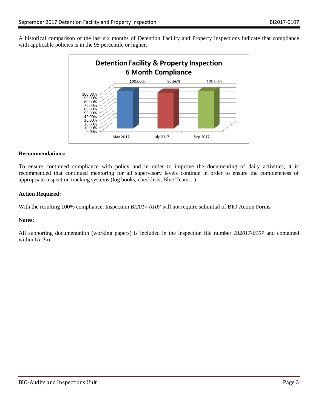A historical comparison of the last six months of Detention Facility and Property inspections indicate that compliance with applicable policies is in the 95 percentile or higher.



#### **Recommendations:**

To ensure continued compliance with policy and in order to improve the documenting of daily activities, it is recommended that continued mentoring for all supervisory levels continue in order to ensure the completeness of appropriate inspection tracking systems (log books, checklists, Blue Team…).

#### **Action Required:**

With the resulting 100% compliance, Inspection *BI2017-0107* will not require submittal of BIO Action Forms.

#### **Notes:**

All supporting documentation (working papers) is included in the inspection file number *BI2017-0107* and contained within IA Pro.